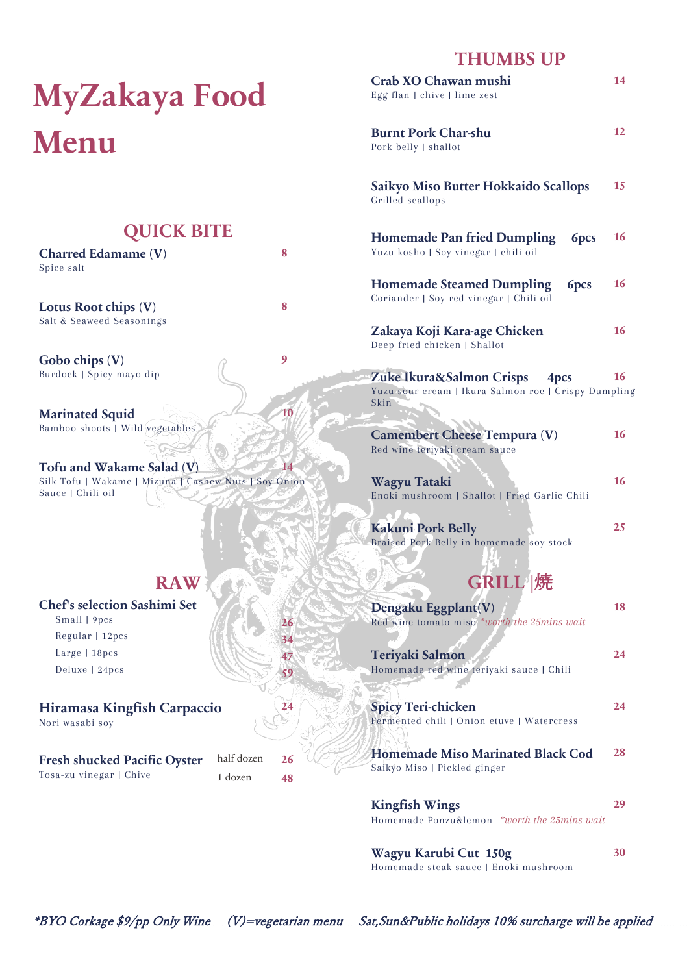# **MyZakaya Food Menu**

## **QUICK BITE**

| <b>Charred Edamame (V)</b> |  |
|----------------------------|--|
| Spice salt                 |  |
|                            |  |

**Lotus Root chips (V) 8** Salt & Seaweed Seasonings

Gobo chips  $(V)$  9 Burdock | Spicy mayo dip

**Marinated Squid 10** Bamboo shoots | Wild vegetables

**Tofu and Wakame Salad (V) 14** Silk Tofu | Wakame | Mizuna | Cashew Nuts | Soy Onion Sauce | Chili oil

# **RAW**

### **Chef's selection Sashimi Set** Small | 9pcs **26** Regular | 12pcs **34** Large | 18pcs **47** Deluxe | 24pcs **59 Hiramasa Kingfish Carpaccio 24**

Nori wasabi soy

| <b>Fresh shucked Pacific Oyster</b> | half dozen | 26 |
|-------------------------------------|------------|----|
| Tosa-zu vinegar   Chive             | 1 dozen    | 48 |

# **THUMBS UP**

| Crab XO Chawan mushi<br>Egg flan   chive   lime zest                                             | 14 |
|--------------------------------------------------------------------------------------------------|----|
| <b>Burnt Pork Char-shu</b><br>Pork belly   shallot                                               | 12 |
| <b>Saikyo Miso Butter Hokkaido Scallops</b><br>Grilled scallops                                  | 15 |
| <b>Homemade Pan fried Dumpling</b><br>6 <sub>pcs</sub><br>Yuzu kosho   Soy vinegar   chili oil   | 16 |
| <b>Homemade Steamed Dumpling</b><br>6pcs<br>Coriander   Soy red vinegar   Chili oil              | 16 |
| Zakaya Koji Kara-age Chicken<br>Deep fried chicken   Shallot                                     | 16 |
| Zuke Ikura&Salmon Crisps<br>4pcs<br>Yuzu sour cream   Ikura Salmon roe   Crispy Dumpling<br>Skin | 16 |
| <b>Camembert Cheese Tempura (V)</b><br>Red wine teriyaki cream sauce                             | 16 |
| Wagyu Tataki<br>Enoki mushroom   Shallot   Fried Garlic Chili                                    | 16 |
| <b>Kakuni Pork Belly</b><br>Braised Pork Belly in homemade soy stock<br><b>GRILL  焼</b>          | 25 |
| Dengaku Eggplant(V)<br>Red wine tomato miso *worth the 25mins wait                               | 18 |
| Teriyaki Salmon<br>Homemade red wine teriyaki sauce   Chili                                      | 24 |
| <b>Spicy Teri-chicken</b><br>Fermented chili   Onion etuve   Watercress                          | 24 |
| <b>Homemade Miso Marinated Black Cod</b><br>Saikýo Miso   Pickled ginger                         | 28 |
| <b>Kingfish Wings</b><br>Homemade Ponzu&lemon *worth the 25mins wait                             | 29 |
| W <sub>I</sub>                                                                                   |    |

**Wagyu Karubi Cut 150g 30** Homemade steak sauce | Enoki mushroom

\*BYO Corkage \$9/pp Only Wine (V)=vegetarian menu Sat,Sun&Public holidays 10% surcharge will be applied